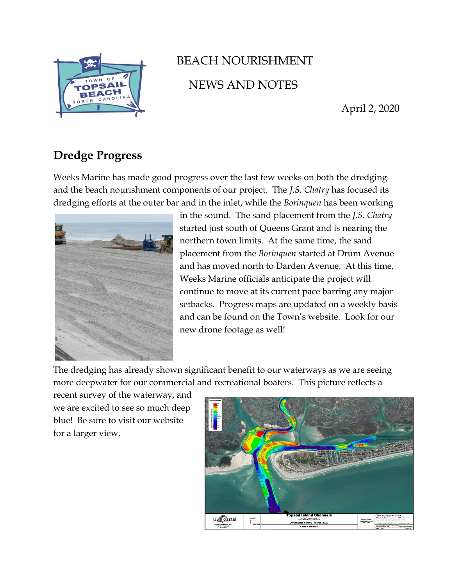

## BEACH NOURISHMENT NEWS AND NOTES

April 2, 2020

## **Dredge Progress**

Weeks Marine has made good progress over the last few weeks on both the dredging and the beach nourishment components of our project. The *J.S. Chatry* has focused its dredging efforts at the outer bar and in the inlet, while the *Borinquen* has been working



in the sound. The sand placement from the *J.S. Chatry* started just south of Queens Grant and is nearing the northern town limits. At the same time, the sand placement from the *Borinquen* started at Drum Avenue and has moved north to Darden Avenue. At this time, Weeks Marine officials anticipate the project will continue to move at its current pace barring any major setbacks. Progress maps are updated on a weekly basis and can be found on the Town's website. Look for our new drone footage as well!

The dredging has already shown significant benefit to our waterways as we are seeing more deepwater for our commercial and recreational boaters. This picture reflects a

recent survey of the waterway, and we are excited to see so much deep blue! Be sure to visit our website for a larger view.